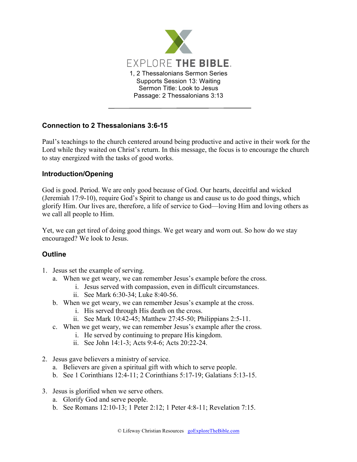

## **Connection to 2 Thessalonians 3:6-15**

Paul's teachings to the church centered around being productive and active in their work for the Lord while they waited on Christ's return. In this message, the focus is to encourage the church to stay energized with the tasks of good works.

## **Introduction/Opening**

God is good. Period. We are only good because of God. Our hearts, deceitful and wicked (Jeremiah 17:9-10), require God's Spirit to change us and cause us to do good things, which glorify Him. Our lives are, therefore, a life of service to God—loving Him and loving others as we call all people to Him.

Yet, we can get tired of doing good things. We get weary and worn out. So how do we stay encouraged? We look to Jesus.

## **Outline**

- 1. Jesus set the example of serving.
	- a. When we get weary, we can remember Jesus's example before the cross.
		- i. Jesus served with compassion, even in difficult circumstances.
			- ii. See Mark 6:30-34; Luke 8:40-56.
	- b. When we get weary, we can remember Jesus's example at the cross.
		- i. His served through His death on the cross.
		- ii. See Mark 10:42-45; Matthew 27:45-50; Philippians 2:5-11.
	- c. When we get weary, we can remember Jesus's example after the cross.
		- i. He served by continuing to prepare His kingdom.
		- ii. See John 14:1-3; Acts 9:4-6; Acts 20:22-24.
- 2. Jesus gave believers a ministry of service.
	- a. Believers are given a spiritual gift with which to serve people.
	- b. See 1 Corinthians 12:4-11; 2 Corinthians 5:17-19; Galatians 5:13-15.
- 3. Jesus is glorified when we serve others.
	- a. Glorify God and serve people.
	- b. See Romans 12:10-13; 1 Peter 2:12; 1 Peter 4:8-11; Revelation 7:15.